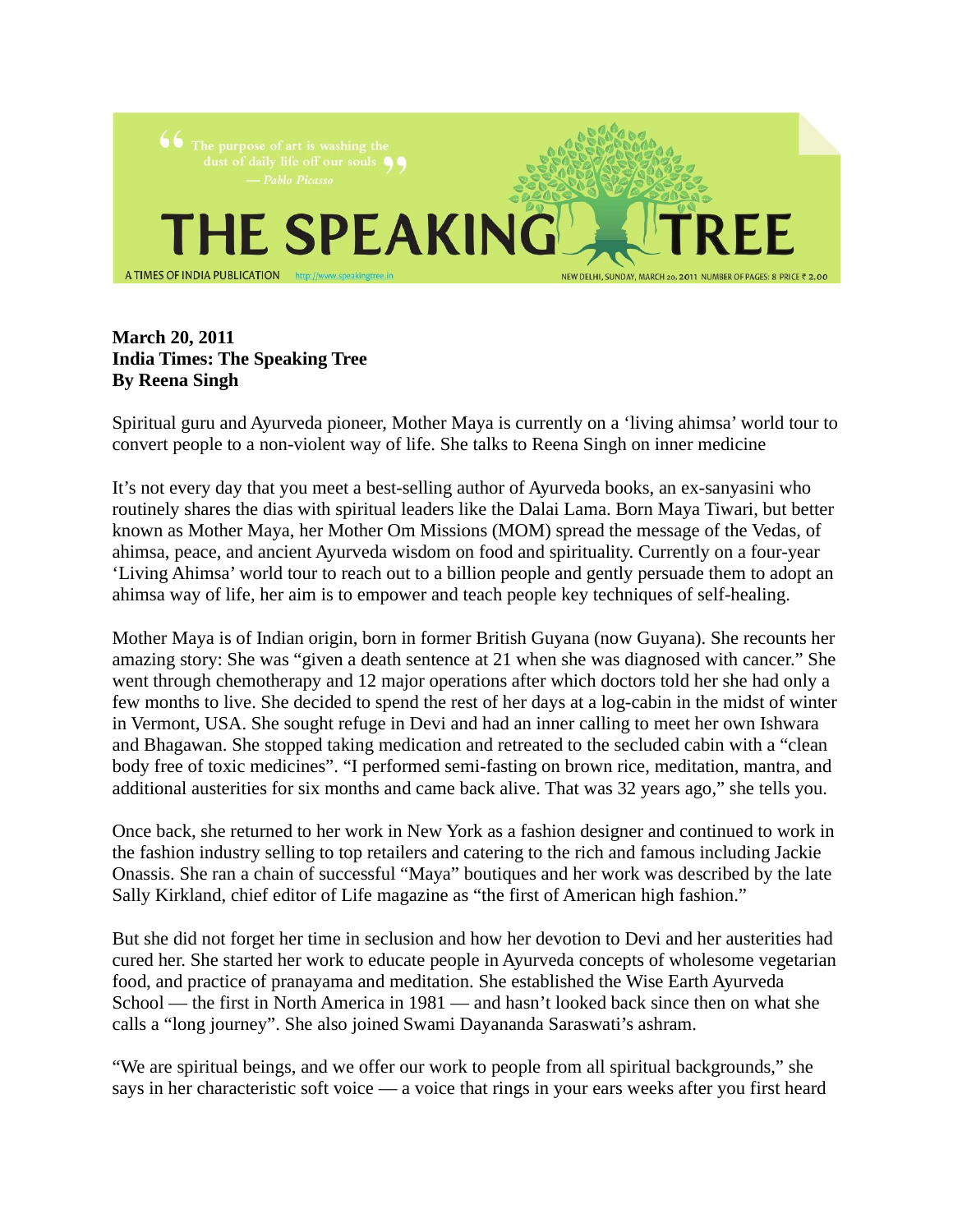

## **March 20, 2011 India Times: The Speaking Tree By Reena Singh**

Spiritual guru and Ayurveda pioneer, Mother Maya is currently on a 'living ahimsa' world tour to convert people to a non-violent way of life. She talks to Reena Singh on inner medicine

It's not every day that you meet a best-selling author of Ayurveda books, an ex-sanyasini who routinely shares the dias with spiritual leaders like the Dalai Lama. Born Maya Tiwari, but better known as Mother Maya, her Mother Om Missions (MOM) spread the message of the Vedas, of ahimsa, peace, and ancient Ayurveda wisdom on food and spirituality. Currently on a four-year 'Living Ahimsa' world tour to reach out to a billion people and gently persuade them to adopt an ahimsa way of life, her aim is to empower and teach people key techniques of self-healing.

Mother Maya is of Indian origin, born in former British Guyana (now Guyana). She recounts her amazing story: She was "given a death sentence at 21 when she was diagnosed with cancer." She went through chemotherapy and 12 major operations after which doctors told her she had only a few months to live. She decided to spend the rest of her days at a log-cabin in the midst of winter in Vermont, USA. She sought refuge in Devi and had an inner calling to meet her own Ishwara and Bhagawan. She stopped taking medication and retreated to the secluded cabin with a "clean body free of toxic medicines". "I performed semi-fasting on brown rice, meditation, mantra, and additional austerities for six months and came back alive. That was 32 years ago," she tells you.

Once back, she returned to her work in New York as a fashion designer and continued to work in the fashion industry selling to top retailers and catering to the rich and famous including Jackie Onassis. She ran a chain of successful "Maya" boutiques and her work was described by the late Sally Kirkland, chief editor of Life magazine as "the first of American high fashion."

But she did not forget her time in seclusion and how her devotion to Devi and her austerities had cured her. She started her work to educate people in Ayurveda concepts of wholesome vegetarian food, and practice of pranayama and meditation. She established the Wise Earth Ayurveda School — the first in North America in 1981 — and hasn't looked back since then on what she calls a "long journey". She also joined Swami Dayananda Saraswati's ashram.

"We are spiritual beings, and we offer our work to people from all spiritual backgrounds," she says in her characteristic soft voice — a voice that rings in your ears weeks after you first heard